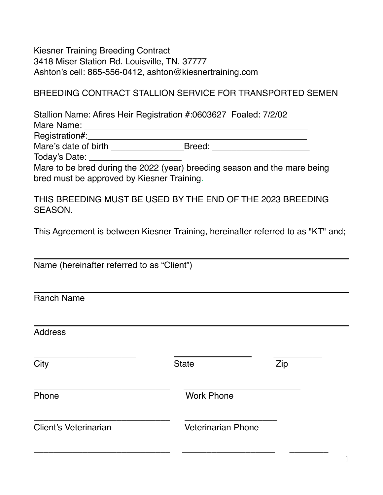Kiesner Training Breeding Contract 3418 Miser Station Rd. Louisville, TN. 37777 Ashton's cell: 865-556-0412, ashton@kiesnertraining.com

## BREEDING CONTRACT STALLION SERVICE FOR TRANSPORTED SEMEN

Stallion Name: Afires Heir Registration #:0603627 Foaled: 7/2/02

Mare Name: \_\_\_\_\_\_\_\_\_\_\_\_\_\_\_\_\_\_\_\_\_\_\_\_\_\_\_\_\_\_\_\_\_\_\_\_\_\_\_\_\_\_\_\_\_\_

Registration#:\_\_\_\_\_\_\_\_\_\_\_\_\_\_\_\_\_\_\_\_\_\_\_\_\_\_\_\_\_\_\_\_\_\_\_\_\_\_\_\_\_\_\_\_\_ Mare's date of birth \_\_\_\_\_\_\_\_\_\_\_\_\_\_\_\_\_\_Breed: \_\_\_\_\_\_\_\_\_\_\_\_\_\_\_\_\_\_\_\_\_\_\_\_\_\_\_\_\_\_\_\_\_\_

Today's Date: \_\_\_\_\_\_\_\_\_\_\_\_\_\_\_\_\_\_\_

Mare to be bred during the 2022 (year) breeding season and the mare being bred must be approved by Kiesner Training.

THIS BREEDING MUST BE USED BY THE END OF THE 2023 BREEDING SEASON.

This Agreement is between Kiesner Training, hereinafter referred to as "KT" and;

| Name (hereinafter referred to as "Client") |                           |     |
|--------------------------------------------|---------------------------|-----|
|                                            |                           |     |
| <b>Ranch Name</b>                          |                           |     |
|                                            |                           |     |
| <b>Address</b>                             |                           |     |
| City                                       | <b>State</b>              | Zip |
| Phone                                      | <b>Work Phone</b>         |     |
| Client's Veterinarian                      | <b>Veterinarian Phone</b> |     |
|                                            |                           |     |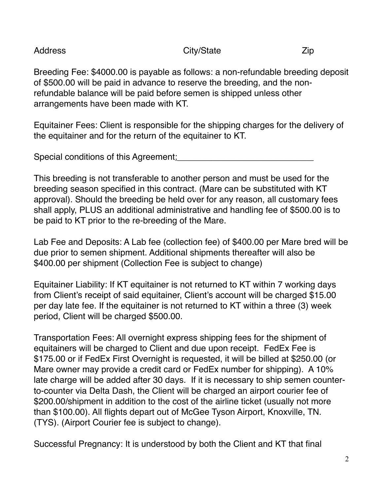Address Zip

Breeding Fee: \$4000.00 is payable as follows: a non-refundable breeding deposit of \$500.00 will be paid in advance to reserve the breeding, and the nonrefundable balance will be paid before semen is shipped unless other arrangements have been made with KT.

Equitainer Fees: Client is responsible for the shipping charges for the delivery of the equitainer and for the return of the equitainer to KT.

Special conditions of this Agreement:

This breeding is not transferable to another person and must be used for the breeding season specified in this contract. (Mare can be substituted with KT approval). Should the breeding be held over for any reason, all customary fees shall apply, PLUS an additional administrative and handling fee of \$500.00 is to be paid to KT prior to the re-breeding of the Mare.

Lab Fee and Deposits: A Lab fee (collection fee) of \$400.00 per Mare bred will be due prior to semen shipment. Additional shipments thereafter will also be \$400.00 per shipment (Collection Fee is subject to change)

Equitainer Liability: If KT equitainer is not returned to KT within 7 working days from Client's receipt of said equitainer, Client's account will be charged \$15.00 per day late fee. If the equitainer is not returned to KT within a three (3) week period, Client will be charged \$500.00.

Transportation Fees: All overnight express shipping fees for the shipment of equitainers will be charged to Client and due upon receipt. FedEx Fee is \$175.00 or if FedEx First Overnight is requested, it will be billed at \$250.00 (or Mare owner may provide a credit card or FedEx number for shipping). A 10% late charge will be added after 30 days. If it is necessary to ship semen counterto-counter via Delta Dash, the Client will be charged an airport courier fee of \$200.00/shipment in addition to the cost of the airline ticket (usually not more than \$100.00). All flights depart out of McGee Tyson Airport, Knoxville, TN. (TYS). (Airport Courier fee is subject to change).

Successful Pregnancy: It is understood by both the Client and KT that final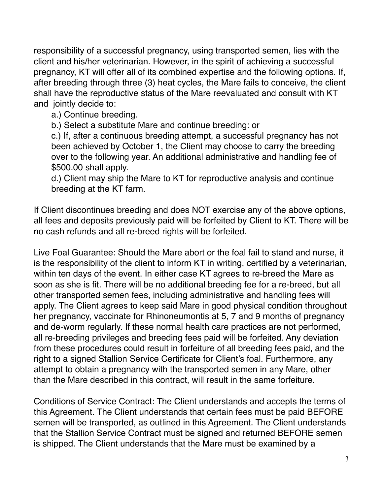responsibility of a successful pregnancy, using transported semen, lies with the client and his/her veterinarian. However, in the spirit of achieving a successful pregnancy, KT will offer all of its combined expertise and the following options. If, after breeding through three (3) heat cycles, the Mare fails to conceive, the client shall have the reproductive status of the Mare reevaluated and consult with KT and jointly decide to:

a.) Continue breeding.

b.) Select a substitute Mare and continue breeding: or

c.) If, after a continuous breeding attempt, a successful pregnancy has not been achieved by October 1, the Client may choose to carry the breeding over to the following year. An additional administrative and handling fee of \$500.00 shall apply.

d.) Client may ship the Mare to KT for reproductive analysis and continue breeding at the KT farm.

If Client discontinues breeding and does NOT exercise any of the above options, all fees and deposits previously paid will be forfeited by Client to KT. There will be no cash refunds and all re-breed rights will be forfeited.

Live Foal Guarantee: Should the Mare abort or the foal fail to stand and nurse, it is the responsibility of the client to inform KT in writing, certified by a veterinarian, within ten days of the event. In either case KT agrees to re-breed the Mare as soon as she is fit. There will be no additional breeding fee for a re-breed, but all other transported semen fees, including administrative and handling fees will apply. The Client agrees to keep said Mare in good physical condition throughout her pregnancy, vaccinate for Rhinoneumontis at 5, 7 and 9 months of pregnancy and de-worm regularly. If these normal health care practices are not performed, all re-breeding privileges and breeding fees paid will be forfeited. Any deviation from these procedures could result in forfeiture of all breeding fees paid, and the right to a signed Stallion Service Certificate for Client's foal. Furthermore, any attempt to obtain a pregnancy with the transported semen in any Mare, other than the Mare described in this contract, will result in the same forfeiture.

Conditions of Service Contract: The Client understands and accepts the terms of this Agreement. The Client understands that certain fees must be paid BEFORE semen will be transported, as outlined in this Agreement. The Client understands that the Stallion Service Contract must be signed and returned BEFORE semen is shipped. The Client understands that the Mare must be examined by a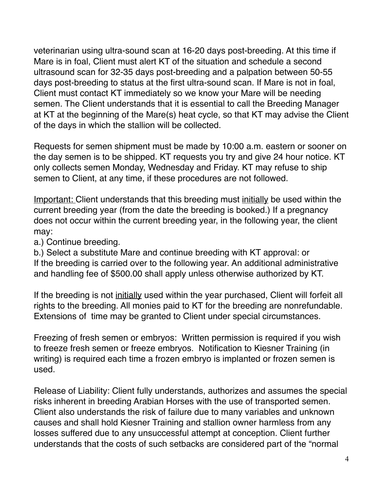veterinarian using ultra-sound scan at 16-20 days post-breeding. At this time if Mare is in foal, Client must alert KT of the situation and schedule a second ultrasound scan for 32-35 days post-breeding and a palpation between 50-55 days post-breeding to status at the first ultra-sound scan. If Mare is not in foal, Client must contact KT immediately so we know your Mare will be needing semen. The Client understands that it is essential to call the Breeding Manager at KT at the beginning of the Mare(s) heat cycle, so that KT may advise the Client of the days in which the stallion will be collected.

Requests for semen shipment must be made by 10:00 a.m. eastern or sooner on the day semen is to be shipped. KT requests you try and give 24 hour notice. KT only collects semen Monday, Wednesday and Friday. KT may refuse to ship semen to Client, at any time, if these procedures are not followed.

Important: Client understands that this breeding must initially be used within the current breeding year (from the date the breeding is booked.) If a pregnancy does not occur within the current breeding year, in the following year, the client may:

a.) Continue breeding.

b.) Select a substitute Mare and continue breeding with KT approval: or If the breeding is carried over to the following year. An additional administrative and handling fee of \$500.00 shall apply unless otherwise authorized by KT.

If the breeding is not initially used within the year purchased, Client will forfeit all rights to the breeding. All monies paid to KT for the breeding are nonrefundable. Extensions of time may be granted to Client under special circumstances.

Freezing of fresh semen or embryos: Written permission is required if you wish to freeze fresh semen or freeze embryos. Notification to Kiesner Training (in writing) is required each time a frozen embryo is implanted or frozen semen is used.

Release of Liability: Client fully understands, authorizes and assumes the special risks inherent in breeding Arabian Horses with the use of transported semen. Client also understands the risk of failure due to many variables and unknown causes and shall hold Kiesner Training and stallion owner harmless from any losses suffered due to any unsuccessful attempt at conception. Client further understands that the costs of such setbacks are considered part of the "normal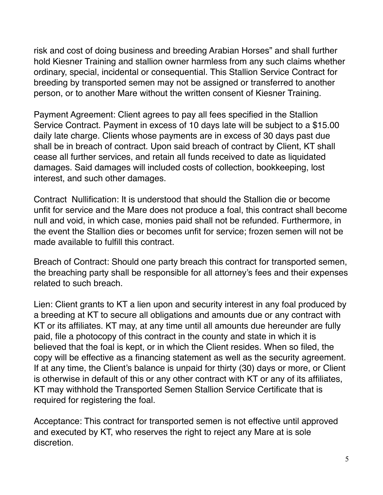risk and cost of doing business and breeding Arabian Horses" and shall further hold Kiesner Training and stallion owner harmless from any such claims whether ordinary, special, incidental or consequential. This Stallion Service Contract for breeding by transported semen may not be assigned or transferred to another person, or to another Mare without the written consent of Kiesner Training.

Payment Agreement: Client agrees to pay all fees specified in the Stallion Service Contract. Payment in excess of 10 days late will be subject to a \$15.00 daily late charge. Clients whose payments are in excess of 30 days past due shall be in breach of contract. Upon said breach of contract by Client, KT shall cease all further services, and retain all funds received to date as liquidated damages. Said damages will included costs of collection, bookkeeping, lost interest, and such other damages.

Contract Nullification: It is understood that should the Stallion die or become unfit for service and the Mare does not produce a foal, this contract shall become null and void, in which case, monies paid shall not be refunded. Furthermore, in the event the Stallion dies or becomes unfit for service; frozen semen will not be made available to fulfill this contract.

Breach of Contract: Should one party breach this contract for transported semen, the breaching party shall be responsible for all attorney's fees and their expenses related to such breach.

Lien: Client grants to KT a lien upon and security interest in any foal produced by a breeding at KT to secure all obligations and amounts due or any contract with KT or its affiliates. KT may, at any time until all amounts due hereunder are fully paid, file a photocopy of this contract in the county and state in which it is believed that the foal is kept, or in which the Client resides. When so filed, the copy will be effective as a financing statement as well as the security agreement. If at any time, the Client's balance is unpaid for thirty (30) days or more, or Client is otherwise in default of this or any other contract with KT or any of its affiliates, KT may withhold the Transported Semen Stallion Service Certificate that is required for registering the foal.

Acceptance: This contract for transported semen is not effective until approved and executed by KT, who reserves the right to reject any Mare at is sole discretion.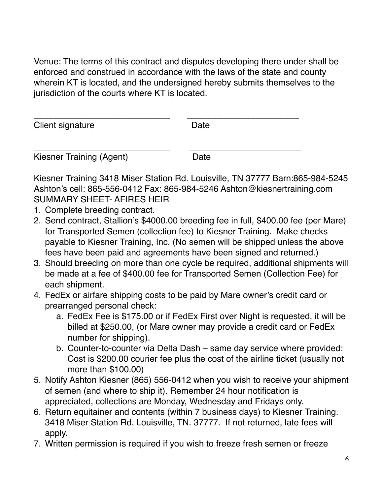Venue: The terms of this contract and disputes developing there under shall be enforced and construed in accordance with the laws of the state and county wherein KT is located, and the undersigned hereby submits themselves to the jurisdiction of the courts where KT is located.

| Client signature         | Date |  |
|--------------------------|------|--|
|                          |      |  |
| Kiesner Training (Agent) | Date |  |

Kiesner Training 3418 Miser Station Rd. Louisville, TN 37777 Barn:865-984-5245 Ashton's cell: 865-556-0412 Fax: 865-984-5246 Ashton@kiesnertraining.com SUMMARY SHEET- AFIRES HEIR

- 1. Complete breeding contract.
- 2. Send contract, Stallion's \$4000.00 breeding fee in full, \$400.00 fee (per Mare) for Transported Semen (collection fee) to Kiesner Training. Make checks payable to Kiesner Training, Inc. (No semen will be shipped unless the above fees have been paid and agreements have been signed and returned.)
- 3. Should breeding on more than one cycle be required, additional shipments will be made at a fee of \$400.00 fee for Transported Semen (Collection Fee) for each shipment.
- 4. FedEx or airfare shipping costs to be paid by Mare owner's credit card or prearranged personal check:
	- a. FedEx Fee is \$175.00 or if FedEx First over Night is requested, it will be billed at \$250.00, (or Mare owner may provide a credit card or FedEx number for shipping).
	- b. Counter-to-counter via Delta Dash same day service where provided: Cost is \$200.00 courier fee plus the cost of the airline ticket (usually not more than \$100.00)
- 5. Notify Ashton Kiesner (865) 556-0412 when you wish to receive your shipment of semen (and where to ship it). Remember 24 hour notification is appreciated, collections are Monday, Wednesday and Fridays only.
- 6. Return equitainer and contents (within 7 business days) to Kiesner Training. 3418 Miser Station Rd. Louisville, TN. 37777. If not returned, late fees will apply.
- 7. Written permission is required if you wish to freeze fresh semen or freeze